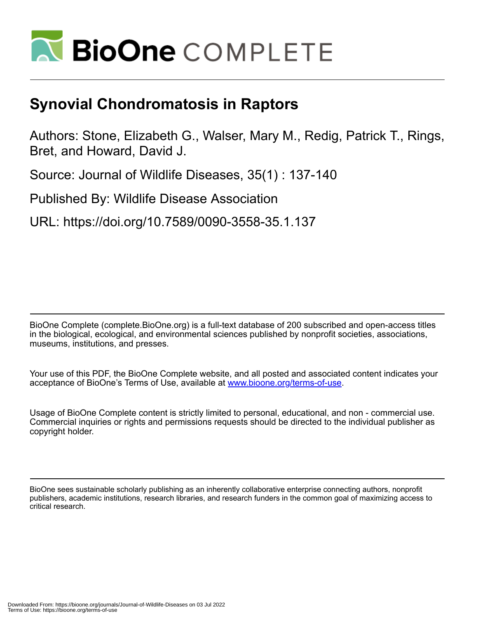

## **Synovial Chondromatosis in Raptors**

Authors: Stone, Elizabeth G., Walser, Mary M., Redig, Patrick T., Rings, Bret, and Howard, David J.

Source: Journal of Wildlife Diseases, 35(1) : 137-140

Published By: Wildlife Disease Association

URL: https://doi.org/10.7589/0090-3558-35.1.137

BioOne Complete (complete.BioOne.org) is a full-text database of 200 subscribed and open-access titles in the biological, ecological, and environmental sciences published by nonprofit societies, associations, museums, institutions, and presses.

Your use of this PDF, the BioOne Complete website, and all posted and associated content indicates your acceptance of BioOne's Terms of Use, available at www.bioone.org/terms-of-use.

Usage of BioOne Complete content is strictly limited to personal, educational, and non - commercial use. Commercial inquiries or rights and permissions requests should be directed to the individual publisher as copyright holder.

BioOne sees sustainable scholarly publishing as an inherently collaborative enterprise connecting authors, nonprofit publishers, academic institutions, research libraries, and research funders in the common goal of maximizing access to critical research.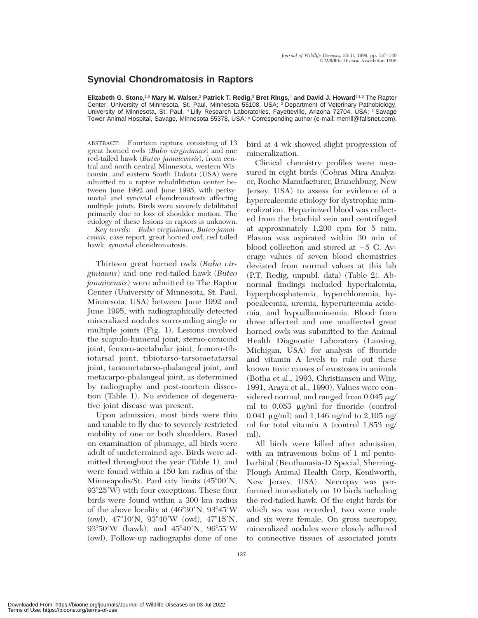## **Synovial Chondromatosis in Raptors**

**Elizabeth G. Stone,**1,6 **Mary M. Walser,**<sup>2</sup> **Patrick T. Redig,**<sup>3</sup> **Bret Rings,**<sup>4</sup> **and David J. Howard**5 1,3 The Raptor Center, University of Minnesota, St. Paul, Minnesota 55108, USA; <sup>2</sup> Department of Veterinary Pathobiology, University of Minnesota, St. Paul, <sup>4</sup> Lilly Research Laboratories, Fayetteville, Arizona 72704, USA; <sup>5</sup> Savage Tower Animal Hospital, Savage, Minnesota 55378, USA; <sup>6</sup> Corresponding author (e-mail: merrill@fallsnet.com).

ABSTRACT: Fourteen raptors, consisting of 13 great horned owls (*Bubo virginianus*) and one red-tailed hawk (*Buteo jamaicensis*), from central and north central Minnesota, western Wisconsin, and eastern South Dakota (USA) were admitted to a raptor rehabilitation center between June 1992 and June 1995, with perisynovial and synovial chondromatosis affecting multiple joints. Birds were severely debilitated primarily due to loss of shoulder motion. The etiology of these lesions in raptors is unknown.

*Key words*: *Bubo virginianus*, *Buteo jamaicensis*, case report, great horned owl, red-tailed hawk, synovial chondromatosis.

Thirteen great horned owls (*Bubo virginianus*) and one red-tailed hawk (*Buteo jamaicensis*) were admitted to The Raptor Center (University of Minnesota, St. Paul, Minnesota, USA) between June 1992 and June 1995, with radiographically detected mineralized nodules surrounding single or multiple joints (Fig. 1). Lesions involved the scapulo-humeral joint, sterno-coracoid joint, femoro-acetabular joint, femoro-tibiotarsal joint, tibiotarso-tarsometatarsal joint, tarsometatarso-phalangeal joint, and metacarpo-phalangeal joint, as determined by radiography and post-mortem dissection (Table 1). No evidence of degenerative joint disease was present.

Upon admission, most birds were thin and unable to fly due to severely restricted mobility of one or both shoulders. Based on examination of plumage, all birds were adult of undetermined age. Birds were admitted throughout the year (Table 1), and were found within a 150 km radius of the Minneapolis/St. Paul city limits  $(45^{\circ}00^{\prime})N$ ,  $93^{\circ}25'$ W) with four exceptions. These four birds were found within a 300 km radius of the above locality at  $(46°30'N, 93°45'W)$ (owl),  $47^{\circ}10'$ N,  $93^{\circ}40'$ W (owl),  $47^{\circ}15'$ N,  $93^{\circ}50'W$  (hawk), and  $45^{\circ}40'N$ ,  $96^{\circ}55'W$ (owl). Follow-up radiographs done of one

bird at 4 wk showed slight progression of mineralization.

Clinical chemistry profiles were measured in eight birds (Cobras Mira Analyzer, Roche Manufacturer, Branchburg, New Jersey, USA) to assess for evidence of a hypercalcemic etiology for dystrophic mineralization. Heparinized blood was collected from the brachial vein and centrifuged at approximately 1,200 rpm for 5 min. Plasma was aspirated within 30 min of blood collection and stored at  $-5$  C. Average values of seven blood chemistries deviated from normal values at this lab (P.T. Redig, unpubl. data) (Table 2). Abnormal findings included hyperkalemia, hyperphosphatemia, hyperchloremia, hypocalcemia, uremia, hyperuricemia acidemia, and hypoalbuminemia. Blood from three affected and one unaffected great horned owls was submitted to the Animal Health Diagnostic Laboratory (Lansing, Michigan, USA) for analysis of fluoride and vitamin A levels to rule out these known toxic causes of exostoses in animals (Botha et al., 1993, Christiansen and Wiig, 1991, Araya et al., 1990). Values were considered normal, and ranged from  $0.045 \mu$ g/ ml to  $0.053 \mu g/ml$  for fluoride (control 0.041  $\mu$ g/ml) and 1,146 ng/ml to 2,105 ng/ ml for total vitamin A (control 1,853 ng/ ml).

All birds were killed after admission, with an intravenous bolus of 1 ml pentobarbital (Beuthanasia-D Special, Sherring-Plough Animal Health Corp, Kenilworth, New Jersey, USA). Necropsy was performed immediately on 10 birds including the red-tailed hawk. Of the eight birds for which sex was recorded, two were male and six were female. On gross necropsy, mineralized nodules were closely adhered to connective tissues of associated joints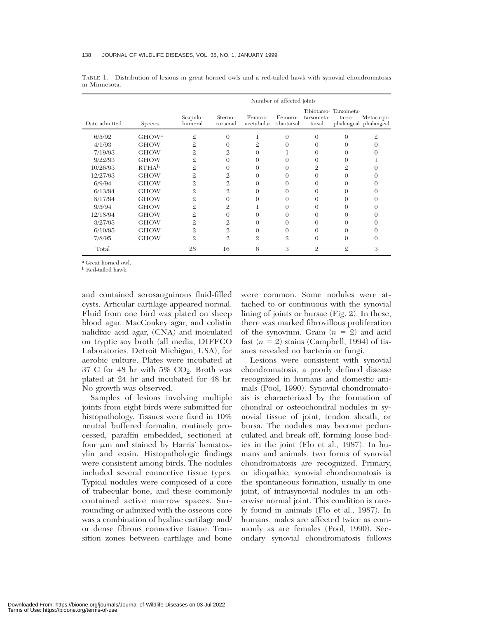|               |                   | Number of affected joints |                     |                       |                        |                      |                                 |                                     |
|---------------|-------------------|---------------------------|---------------------|-----------------------|------------------------|----------------------|---------------------------------|-------------------------------------|
| Date admitted | Species           | Scapulo-<br>humeral       | Sterno-<br>coracoid | Femoro-<br>acetabular | Femoro-<br>tibiotarsal | tarsometa-<br>tarsal | Tibiotarso-Tarsometa-<br>tarso- | Metacarpo-<br>phalangeal phalangeal |
| 6/5/92        | GHOW <sup>a</sup> | $\mathfrak{2}$            | $\Omega$            | 1                     | $\theta$               | $\Omega$             | $\theta$                        | 9.                                  |
| 4/1/93        | <b>GHOW</b>       | $\mathfrak{2}$            | $\Omega$            | $\mathfrak{2}$        | $\Omega$               | $\Omega$             | 0                               |                                     |
| 7/19/93       | <b>GHOW</b>       | $\mathfrak{2}$            | 2                   | $\Omega$              |                        | $\Omega$             | 0                               |                                     |
| 9/22/93       | <b>GHOW</b>       | $\mathfrak{2}$            | $\Omega$            | $\Omega$              | 0                      | 0                    | $\Omega$                        |                                     |
| 10/26/93      | RTHA <sup>b</sup> | $\mathfrak{2}$            | $\Omega$            | $\Omega$              | $\Omega$               | $\overline{2}$       | $\mathfrak{2}$                  |                                     |
| 12/27/93      | <b>GHOW</b>       | $\mathfrak{2}$            | $\overline{2}$      | $\Omega$              | 0                      | $\Omega$             | $\theta$                        |                                     |
| 6/9/94        | <b>GHOW</b>       | $\mathfrak{2}$            | $\overline{2}$      | $\Omega$              | $\Omega$               | $\Omega$             | $\Omega$                        |                                     |
| 6/13/94       | <b>GHOW</b>       | $\mathfrak{2}$            | $\overline{2}$      | $\Omega$              | 0                      | $\Omega$             | 0                               |                                     |
| 8/17/94       | <b>GHOW</b>       | $\mathfrak{2}$            | $\Omega$            | $\Omega$              | $\Omega$               | 0                    | $\Omega$                        |                                     |
| 9/5/94        | <b>GHOW</b>       | $\mathfrak{2}$            | $\overline{2}$      | T                     | $\Omega$               | $\Omega$             | $\Omega$                        |                                     |
| 12/18/94      | <b>GHOW</b>       | $\mathfrak{2}$            | $\Omega$            | $\Omega$              | $\Omega$               | 0                    | $\Omega$                        |                                     |
| 3/27/95       | <b>GHOW</b>       | $\mathfrak{2}$            | $\overline{2}$      | $\Omega$              | $\Omega$               | 0                    | $\Omega$                        |                                     |
| 6/10/95       | <b>GHOW</b>       | $\mathfrak{2}$            | $\overline{2}$      | $\Omega$              | 0                      | $\Omega$             | $\Omega$                        |                                     |
| 7/8/95        | <b>GHOW</b>       | $\mathfrak{2}$            | $\mathfrak{2}$      | $\mathfrak{2}$        | $\mathfrak{2}$         | $\Omega$             | $\theta$                        |                                     |
| Total         |                   | 28                        | 16                  | 6                     | 3                      | 2                    | $\mathfrak{2}$                  | 3                                   |

TABLE 1. Distribution of lesions in great horned owls and a red-tailed hawk with synovial chondromatosis in Minnesota.

<sup>a</sup> Great horned owl.

<sup>b</sup> Red-tailed hawk.

and contained serosanguinous fluid-filled cysts. Articular cartilage appeared normal. Fluid from one bird was plated on sheep blood agar, MacConkey agar, and colistin nalidixic acid agar, (CNA) and inoculated on tryptic soy broth (all media, DIFFCO Laboratories, Detroit Michigan, USA), for aerobic culture. Plates were incubated at 37 C for 48 hr with  $5\%$  CO<sub>2</sub>. Broth was plated at 24 hr and incubated for 48 hr. No growth was observed.

Samples of lesions involving multiple joints from eight birds were submitted for histopathology. Tissues were fixed in 10% neutral buffered formalin, routinely processed, paraffin embedded, sectioned at four  $\mu$ m and stained by Harris' hematoxylin and eosin. Histopathologic findings were consistent among birds. The nodules included several connective tissue types. Typical nodules were composed of a core of trabecular bone, and these commonly contained active marrow spaces. Surrounding or admixed with the osseous core was a combination of hyaline cartilage and/ or dense fibrous connective tissue. Transition zones between cartilage and bone

were common. Some nodules were attached to or continuous with the synovial lining of joints or bursae (Fig. 2). In these, there was marked fibrovillous proliferation of the synovium. Gram  $(n = 2)$  and acid fast  $(n = 2)$  stains (Campbell, 1994) of tissues revealed no bacteria or fungi.

Lesions were consistent with synovial chondromatosis, a poorly defined disease recognized in humans and domestic animals (Pool, 1990). Synovial chondromatosis is characterized by the formation of chondral or osteochondral nodules in synovial tissue of joint, tendon sheath, or bursa. The nodules may become pedunculated and break off, forming loose bodies in the joint (Flo et al., 1987). In humans and animals, two forms of synovial chondromatosis are recognized. Primary, or idiopathic, synovial chondromatosis is the spontaneous formation, usually in one joint, of intrasynovial nodules in an otherwise normal joint. This condition is rarely found in animals (Flo et al., 1987). In humans, males are affected twice as commonly as are females (Pool, 1990). Secondary synovial chondromatosis follows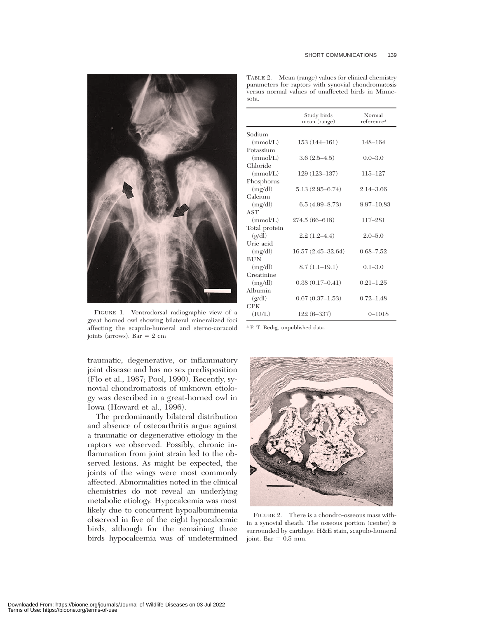



FIGURE 1. Ventrodorsal radiographic view of a great horned owl showing bilateral mineralized foci affecting the scapulo-humeral and sterno-coracoid joints (arrows). Bar  $= 2$  cm

traumatic, degenerative, or inflammatory joint disease and has no sex predisposition (Flo et al., 1987; Pool, 1990). Recently, synovial chondromatosis of unknown etiology was described in a great-horned owl in Iowa (Howard et al., 1996).

The predominantly bilateral distribution and absence of osteoarthritis argue against a traumatic or degenerative etiology in the raptors we observed. Possibly, chronic inflammation from joint strain led to the observed lesions. As might be expected, the joints of the wings were most commonly affected. Abnormalities noted in the clinical chemistries do not reveal an underlying metabolic etiology. Hypocalcemia was most likely due to concurrent hypoalbuminemia observed in five of the eight hypocalcemic birds, although for the remaining three birds hypocalcemia was of undetermined

|               | Study birds<br>mean (range) | Normal<br>reference <sup>a</sup> |
|---------------|-----------------------------|----------------------------------|
| Sodium        |                             |                                  |
| (mmol/L)      | $153(144 - 161)$            | 148-164                          |
| Potassium     |                             |                                  |
| (mmol/L)      | $3.6(2.5-4.5)$              | $0.0 - 3.0$                      |
| Chloride      |                             |                                  |
| (mmol/L)      | $129(123 - 137)$            | 115-127                          |
| Phosphorus    |                             |                                  |
| (mg/dl)       | $5.13(2.95 - 6.74)$         | $2.14 - 3.66$                    |
| Calcium       |                             |                                  |
| (mg/dl)       | $6.5(4.99 - 8.73)$          | 8.97-10.83                       |
| <b>AST</b>    |                             |                                  |
| (mmol/L)      | $274.5(66-618)$             | $117 - 281$                      |
| Total protein |                             |                                  |
| (g/dl)        | $2.2(1.2 - 4.4)$            | $2.0 - 5.0$                      |
| Uric acid     |                             |                                  |
| (mg/dl)       | $16.57(2.45-32.64)$         | $0.68 - 7.52$                    |
| <b>BUN</b>    |                             |                                  |
| (mg/dl)       | $8.7(1.1-19.1)$             | $0.1 - 3.0$                      |
| Creatinine    |                             |                                  |
| (mg/dl)       | $0.38(0.17-0.41)$           | $0.21 - 1.25$                    |
| Albumin       |                             |                                  |
| (g/dl)        | $0.67(0.37-1.53)$           | $0.72 - 1.48$                    |
| <b>CPK</b>    |                             |                                  |
| (IU/L)        | $122(6-337)$                | $0 - 1018$                       |

TABLE 2. Mean (range) values for clinical chemistry parameters for raptors with synovial chondromatosis versus normal values of unaffected birds in Minnesota.

<sup>a</sup> P. T. Redig, unpublished data.



FIGURE 2. There is a chondro-osseous mass within a synovial sheath. The osseous portion (center) is surrounded by cartilage. H&E stain, scapulo-humeral joint. Bar =  $0.5$  mm.